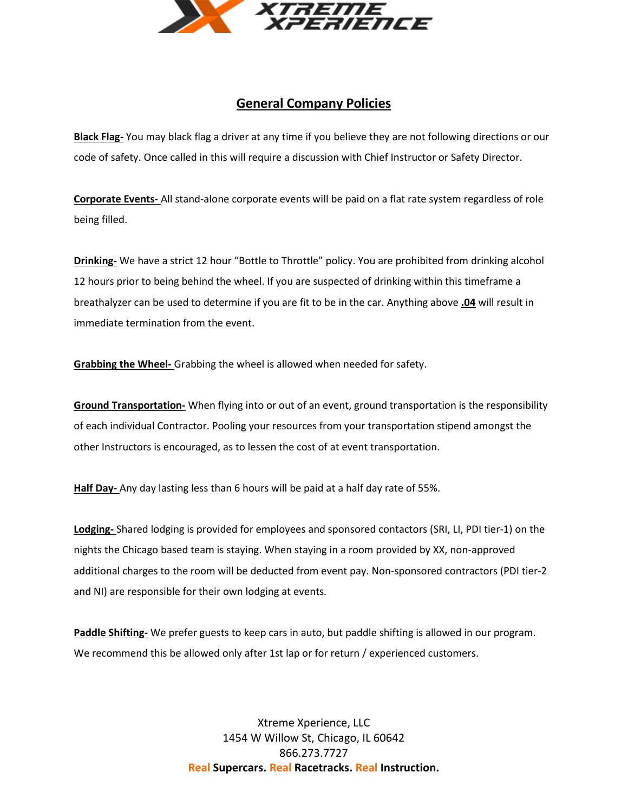

## **General Company Policies**

**Black Flag-** You may black flag a driver at any time if you believe they are not following directions or our code of safety. Once called in this will require a discussion with Chief Instructor or Safety Director.

**Corporate Events-** All stand-alone corporate events will be paid on a flat rate system regardless of role being filled.

**Drinking-** We have a strict 12 hour "Bottle to Throttle" policy. You are prohibited from drinking alcohol 12 hours prior to being behind the wheel. If you are suspected of drinking within this timeframe a breathalyzer can be used to determine if you are fit to be in the car. Anything above **.04** will result in immediate termination from the event.

**Grabbing the Wheel-** Grabbing the wheel is allowed when needed for safety.

**Ground Transportation-** When flying into or out of an event, ground transportation is the responsibility of each individual Contractor. Pooling your resources from your transportation stipend amongst the other Instructors is encouraged, as to lessen the cost of at event transportation.

**Half Day-** Any day lasting less than 6 hours will be paid at a half day rate of 55%.

**Lodging-** Shared lodging is provided for employees and sponsored contactors (SRI, LI, PDI tier-1) on the nights the Chicago based team is staying. When staying in a room provided by XX, non-approved additional charges to the room will be deducted from event pay. Non-sponsored contractors (PDI tier-2 and NI) are responsible for their own lodging at events.

**Paddle Shifting-** We prefer guests to keep cars in auto, but paddle shifting is allowed in our program. We recommend this be allowed only after 1st lap or for return / experienced customers.

> Xtreme Xperience, LLC 1454 W Willow St, Chicago, IL 60642 866.273.7727 **Real Supercars. Real Racetracks. Real Instruction.**